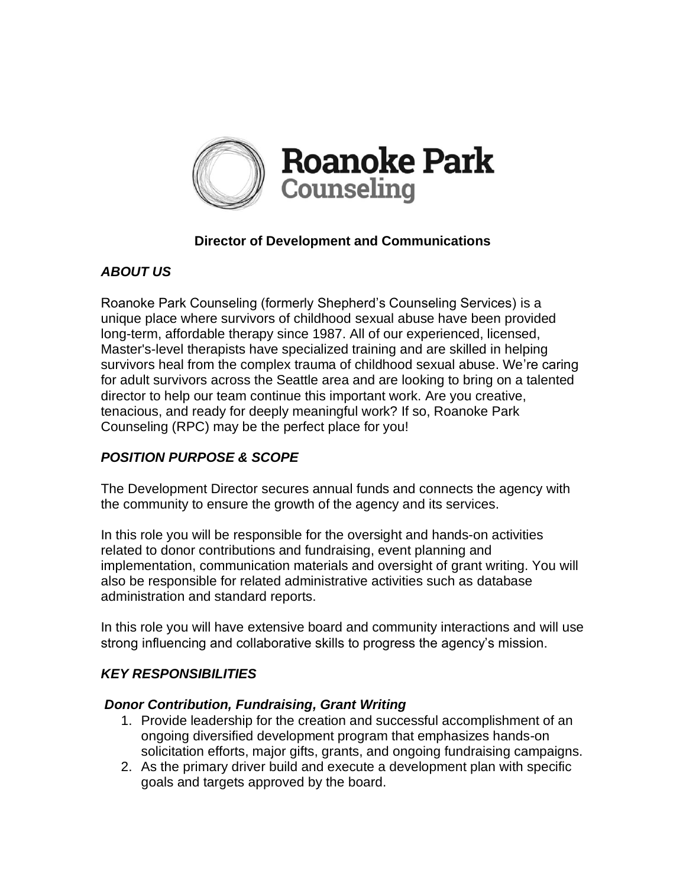

# **Director of Development and Communications**

## *ABOUT US*

Roanoke Park Counseling (formerly Shepherd's Counseling Services) is a unique place where survivors of childhood sexual abuse have been provided long-term, affordable therapy since 1987. All of our experienced, licensed, Master's-level therapists have specialized training and are skilled in helping survivors heal from the complex trauma of childhood sexual abuse. We're caring for adult survivors across the Seattle area and are looking to bring on a talented director to help our team continue this important work. Are you creative, tenacious, and ready for deeply meaningful work? If so, Roanoke Park Counseling (RPC) may be the perfect place for you!

# *POSITION PURPOSE & SCOPE*

The Development Director secures annual funds and connects the agency with the community to ensure the growth of the agency and its services.

In this role you will be responsible for the oversight and hands-on activities related to donor contributions and fundraising, event planning and implementation, communication materials and oversight of grant writing. You will also be responsible for related administrative activities such as database administration and standard reports.

In this role you will have extensive board and community interactions and will use strong influencing and collaborative skills to progress the agency's mission.

#### *KEY RESPONSIBILITIES*

#### *Donor Contribution, Fundraising, Grant Writing*

- 1. Provide leadership for the creation and successful accomplishment of an ongoing diversified development program that emphasizes hands-on solicitation efforts, major gifts, grants, and ongoing fundraising campaigns.
- 2. As the primary driver build and execute a development plan with specific goals and targets approved by the board.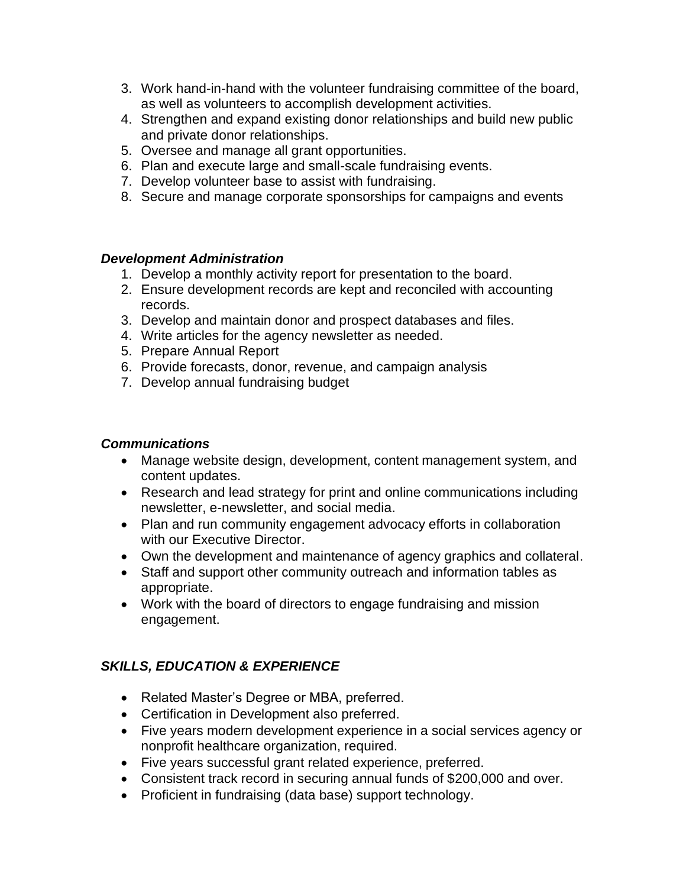- 3. Work hand-in-hand with the volunteer fundraising committee of the board, as well as volunteers to accomplish development activities.
- 4. Strengthen and expand existing donor relationships and build new public and private donor relationships.
- 5. Oversee and manage all grant opportunities.
- 6. Plan and execute large and small-scale fundraising events.
- 7. Develop volunteer base to assist with fundraising.
- 8. Secure and manage corporate sponsorships for campaigns and events

#### *Development Administration*

- 1. Develop a monthly activity report for presentation to the board.
- 2. Ensure development records are kept and reconciled with accounting records.
- 3. Develop and maintain donor and prospect databases and files.
- 4. Write articles for the agency newsletter as needed.
- 5. Prepare Annual Report
- 6. Provide forecasts, donor, revenue, and campaign analysis
- 7. Develop annual fundraising budget

### *Communications*

- Manage website design, development, content management system, and content updates.
- Research and lead strategy for print and online communications including newsletter, e-newsletter, and social media.
- Plan and run community engagement advocacy efforts in collaboration with our Executive Director.
- Own the development and maintenance of agency graphics and collateral.
- Staff and support other community outreach and information tables as appropriate.
- Work with the board of directors to engage fundraising and mission engagement.

# *SKILLS, EDUCATION & EXPERIENCE*

- Related Master's Degree or MBA, preferred.
- Certification in Development also preferred.
- Five years modern development experience in a social services agency or nonprofit healthcare organization, required.
- Five years successful grant related experience, preferred.
- Consistent track record in securing annual funds of \$200,000 and over.
- Proficient in fundraising (data base) support technology.